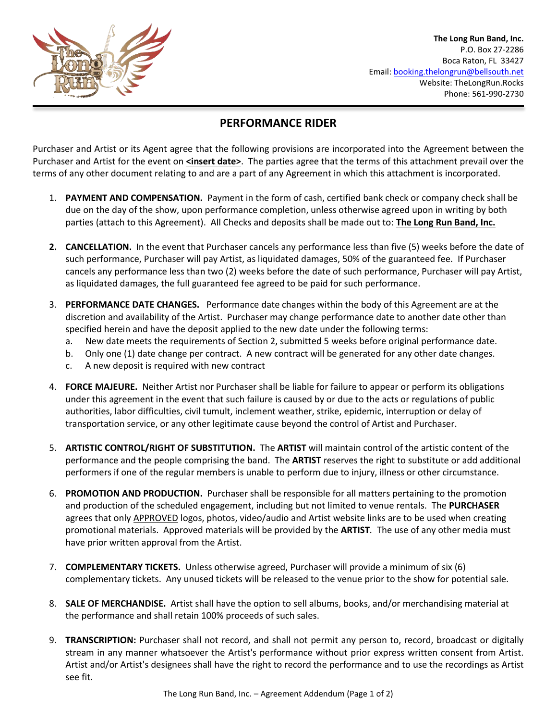

**The Long Run Band, Inc.** P.O. Box 27-2286 Boca Raton, FL 33427 Email: [booking.thelongrun@bellsouth.net](mailto:booking.thelongrun@bellsouth.net) Website: TheLongRun.Rocks Phone: 561-990-2730

## **PERFORMANCE RIDER**

Purchaser and Artist or its Agent agree that the following provisions are incorporated into the Agreement between the Purchaser and Artist for the event on **sinsert date>**. The parties agree that the terms of this attachment prevail over the terms of any other document relating to and are a part of any Agreement in which this attachment is incorporated.

- 1. **PAYMENT AND COMPENSATION.** Payment in the form of cash, certified bank check or company check shall be due on the day of the show, upon performance completion, unless otherwise agreed upon in writing by both parties (attach to this Agreement). All Checks and deposits shall be made out to: **The Long Run Band, Inc.**
- **2. CANCELLATION.** In the event that Purchaser cancels any performance less than five (5) weeks before the date of such performance, Purchaser will pay Artist, as liquidated damages, 50% of the guaranteed fee. If Purchaser cancels any performance less than two (2) weeks before the date of such performance, Purchaser will pay Artist, as liquidated damages, the full guaranteed fee agreed to be paid for such performance.
- 3. **PERFORMANCE DATE CHANGES.** Performance date changes within the body of this Agreement are at the discretion and availability of the Artist. Purchaser may change performance date to another date other than specified herein and have the deposit applied to the new date under the following terms:
	- a. New date meets the requirements of Section 2, submitted 5 weeks before original performance date.
	- b. Only one (1) date change per contract. A new contract will be generated for any other date changes.
	- c. A new deposit is required with new contract
- 4. **FORCE MAJEURE.** Neither Artist nor Purchaser shall be liable for failure to appear or perform its obligations under this agreement in the event that such failure is caused by or due to the acts or regulations of public authorities, labor difficulties, civil tumult, inclement weather, strike, epidemic, interruption or delay of transportation service, or any other legitimate cause beyond the control of Artist and Purchaser.
- 5. **ARTISTIC CONTROL/RIGHT OF SUBSTITUTION.** The **ARTIST** will maintain control of the artistic content of the performance and the people comprising the band. The **ARTIST** reserves the right to substitute or add additional performers if one of the regular members is unable to perform due to injury, illness or other circumstance.
- 6. **PROMOTION AND PRODUCTION.** Purchaser shall be responsible for all matters pertaining to the promotion and production of the scheduled engagement, including but not limited to venue rentals. The **PURCHASER** agrees that only APPROVED logos, photos, video/audio and Artist website links are to be used when creating promotional materials. Approved materials will be provided by the **ARTIST***.* The use of any other media must have prior written approval from the Artist.
- 7. **COMPLEMENTARY TICKETS.** Unless otherwise agreed, Purchaser will provide a minimum of six (6) complementary tickets. Any unused tickets will be released to the venue prior to the show for potential sale.
- 8. **SALE OF MERCHANDISE.** Artist shall have the option to sell albums, books, and/or merchandising material at the performance and shall retain 100% proceeds of such sales.
- 9. **TRANSCRIPTION:** Purchaser shall not record, and shall not permit any person to, record, broadcast or digitally stream in any manner whatsoever the Artist's performance without prior express written consent from Artist. Artist and/or Artist's designees shall have the right to record the performance and to use the recordings as Artist see fit.